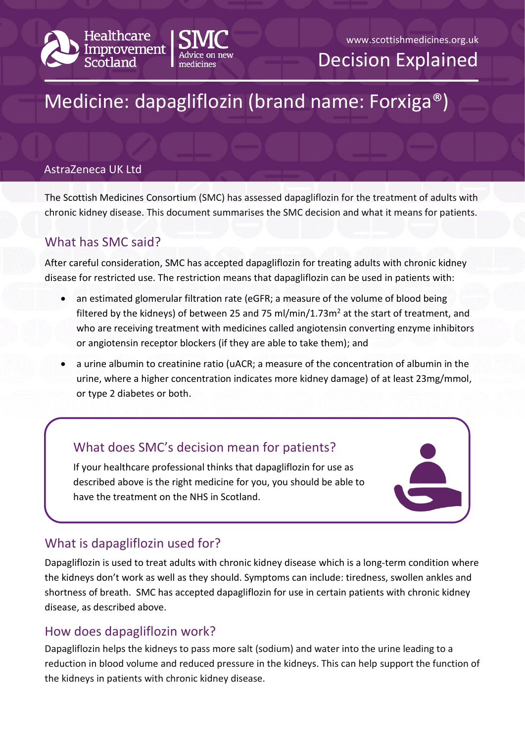



Decision Explained

# Medicine: dapagliflozin (brand name: Forxiga®)

#### AstraZeneca UK Ltd

The Scottish Medicines Consortium (SMC) has assessed dapagliflozin for the treatment of adults with chronic kidney disease. This document summarises the SMC decision and what it means for patients. Gilead Sciences, Inc

## What has SMC said?

After careful consideration, SMC has accepted dapagliflozin for treating adults with chronic kidney disease for restricted use. The restriction means that dapagliflozin can be used in patients with:

- an estimated glomerular filtration rate (eGFR; a measure of the volume of blood being filtered by the kidneys) of between 25 and 75 ml/min/1.73m<sup>2</sup> at the start of treatment, and who are receiving treatment with medicines called angiotensin converting enzyme inhibitors or angiotensin receptor blockers (if they are able to take them); and
- a urine albumin to creatinine ratio (uACR; a measure of the concentration of albumin in the urine, where a higher concentration indicates more kidney damage) of at least 23mg/mmol, or type 2 diabetes or both.

# What does SMC's decision mean for patients?

If your healthcare professional thinks that dapagliflozin for use as described above is the right medicine for you, you should be able to have the treatment on the NHS in Scotland.



# What is dapagliflozin used for?

Dapagliflozin is used to treat adults with chronic kidney disease which is a long-term condition where the kidneys don't work as well as they should. Symptoms can include: tiredness, swollen ankles and shortness of breath. SMC has accepted dapagliflozin for use in certain patients with chronic kidney disease, as described above.

### How does dapagliflozin work?

Dapagliflozin helps the kidneys to pass more salt (sodium) and water into the urine leading to a reduction in blood volume and reduced pressure in the kidneys. This can help support the function of the kidneys in patients with chronic kidney disease.